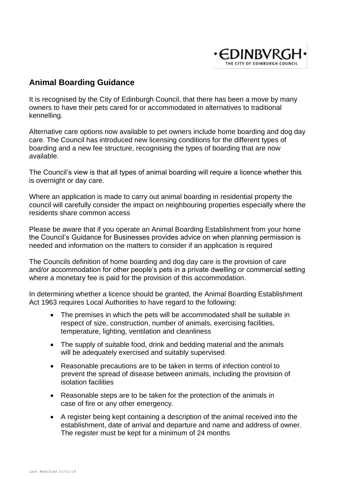

# **Animal Boarding Guidance**

It is recognised by the City of Edinburgh Council, that there has been a move by many owners to have their pets cared for or accommodated in alternatives to traditional kennelling.

Alternative care options now available to pet owners include home boarding and dog day care. The Council has introduced new licensing conditions for the different types of boarding and a new fee structure, recognising the types of boarding that are now available.

The Council's view is that all types of animal boarding will require a licence whether this is overnight or day care.

Where an application is made to carry out animal boarding in residential property the council will carefully consider the impact on neighbouring properties especially where the residents share common access

Please be aware that if you operate an Animal Boarding Establishment from your home the Council's Guidance for Businesses provides advice on when planning permission is needed and information on the matters to consider if an application is required

The Councils definition of home boarding and dog day care is the provision of care and/or accommodation for other people's pets in a private dwelling or commercial setting where a monetary fee is paid for the provision of this accommodation.

In determining whether a licence should be granted, the Animal Boarding Establishment Act 1963 requires Local Authorities to have regard to the following:

- The premises in which the pets will be accommodated shall be suitable in respect of size, construction, number of animals, exercising facilities, temperature, lighting, ventilation and cleanliness
- The supply of suitable food, drink and bedding material and the animals will be adequately exercised and suitably supervised.
- Reasonable precautions are to be taken in terms of infection control to prevent the spread of disease between animals, including the provision of isolation facilities
- Reasonable steps are to be taken for the protection of the animals in case of fire or any other emergency.
- A register being kept containing a description of the animal received into the establishment, date of arrival and departure and name and address of owner. The register must be kept for a minimum of 24 months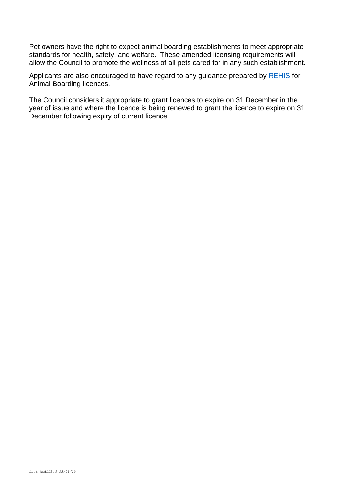Pet owners have the right to expect animal boarding establishments to meet appropriate standards for health, safety, and welfare. These amended licensing requirements will allow the Council to promote the wellness of all pets cared for in any such establishment.

Applicants are also encouraged to have regard to any guidance prepared by [REHIS](https://www.rehis.com/search/node/animal%20boarding) for Animal Boarding licences.

The Council considers it appropriate to grant licences to expire on 31 December in the year of issue and where the licence is being renewed to grant the licence to expire on 31 December following expiry of current licence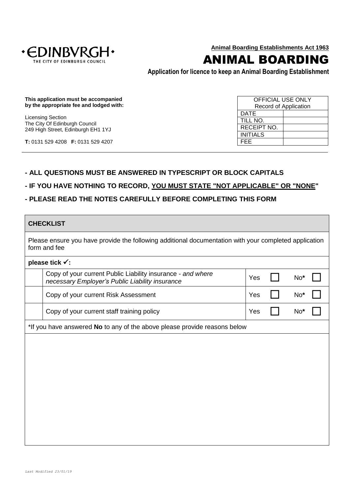

ANIMAL BOARDING

**Application for licence to keep an Animal Boarding Establishment**

**This application must be accompanied by the appropriate fee and lodged with:**

Licensing Section The City Of Edinburgh Council 249 High Street, Edinburgh EH1 1YJ

**T:** 0131 529 4208 **F:** 0131 529 4207

 $\blacksquare$ 

OFFICIAL USE ONLY Record of Application DATE TILL NO. RECEIPT NO. INITIALS FEE

#### **- ALL QUESTIONS MUST BE ANSWERED IN TYPESCRIPT OR BLOCK CAPITALS**

#### **- IF YOU HAVE NOTHING TO RECORD, YOU MUST STATE "NOT APPLICABLE" OR "NONE"**

### **- PLEASE READ THE NOTES CAREFULLY BEFORE COMPLETING THIS FORM**

| <b>CHECKLIST</b>                                                                                                      |     |                 |  |
|-----------------------------------------------------------------------------------------------------------------------|-----|-----------------|--|
| Please ensure you have provide the following additional documentation with your completed application<br>form and fee |     |                 |  |
| please tick √:                                                                                                        |     |                 |  |
| Copy of your current Public Liability insurance - and where<br>necessary Employer's Public Liability insurance        | Yes | No*             |  |
| Copy of your current Risk Assessment                                                                                  | Yes | No <sup>*</sup> |  |
| Copy of your current staff training policy                                                                            | Yes | No <sup>*</sup> |  |
| *If you have answered No to any of the above please provide reasons below                                             |     |                 |  |
|                                                                                                                       |     |                 |  |
|                                                                                                                       |     |                 |  |
|                                                                                                                       |     |                 |  |
|                                                                                                                       |     |                 |  |
|                                                                                                                       |     |                 |  |
|                                                                                                                       |     |                 |  |
|                                                                                                                       |     |                 |  |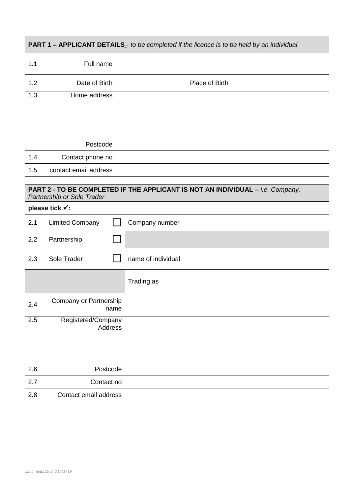| <b>PART 1 - APPLICANT DETAILS</b> - to be completed if the licence is to be held by an individual |                       |                |  |  |  |  |  |
|---------------------------------------------------------------------------------------------------|-----------------------|----------------|--|--|--|--|--|
| 1.1                                                                                               | Full name             |                |  |  |  |  |  |
| 1.2                                                                                               | Date of Birth         | Place of Birth |  |  |  |  |  |
| 1.3                                                                                               | Home address          |                |  |  |  |  |  |
|                                                                                                   | Postcode              |                |  |  |  |  |  |
| 1.4                                                                                               | Contact phone no      |                |  |  |  |  |  |
| 1.5                                                                                               | contact email address |                |  |  |  |  |  |

| PART 2 - TO BE COMPLETED IF THE APPLICANT IS NOT AN INDIVIDUAL - i.e. Company,<br>Partnership or Sole Trader |                                      |                    |  |  |  |
|--------------------------------------------------------------------------------------------------------------|--------------------------------------|--------------------|--|--|--|
|                                                                                                              | please tick √:                       |                    |  |  |  |
| 2.1                                                                                                          | <b>Limited Company</b>               | Company number     |  |  |  |
| 2.2                                                                                                          | Partnership                          |                    |  |  |  |
| 2.3                                                                                                          | Sole Trader                          | name of individual |  |  |  |
|                                                                                                              |                                      | Trading as         |  |  |  |
| 2.4                                                                                                          | Company or Partnership<br>name       |                    |  |  |  |
| 2.5                                                                                                          | Registered/Company<br><b>Address</b> |                    |  |  |  |
| 2.6                                                                                                          | Postcode                             |                    |  |  |  |
| 2.7                                                                                                          | Contact no                           |                    |  |  |  |
| 2.8                                                                                                          | Contact email address                |                    |  |  |  |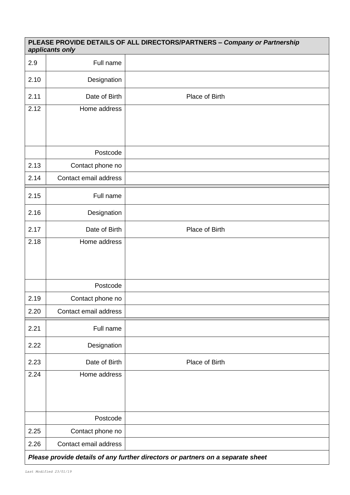| PLEASE PROVIDE DETAILS OF ALL DIRECTORS/PARTNERS - Company or Partnership<br>applicants only |                                                                                 |                |  |  |  |  |
|----------------------------------------------------------------------------------------------|---------------------------------------------------------------------------------|----------------|--|--|--|--|
| 2.9                                                                                          | Full name                                                                       |                |  |  |  |  |
| 2.10                                                                                         | Designation                                                                     |                |  |  |  |  |
| 2.11                                                                                         | Date of Birth                                                                   | Place of Birth |  |  |  |  |
| 2.12                                                                                         | Home address                                                                    |                |  |  |  |  |
|                                                                                              |                                                                                 |                |  |  |  |  |
|                                                                                              | Postcode                                                                        |                |  |  |  |  |
| 2.13                                                                                         | Contact phone no                                                                |                |  |  |  |  |
| 2.14                                                                                         | Contact email address                                                           |                |  |  |  |  |
| 2.15                                                                                         | Full name                                                                       |                |  |  |  |  |
| 2.16                                                                                         | Designation                                                                     |                |  |  |  |  |
| 2.17                                                                                         | Date of Birth                                                                   | Place of Birth |  |  |  |  |
| 2.18                                                                                         | Home address                                                                    |                |  |  |  |  |
|                                                                                              |                                                                                 |                |  |  |  |  |
|                                                                                              | Postcode                                                                        |                |  |  |  |  |
| 2.19                                                                                         | Contact phone no                                                                |                |  |  |  |  |
| 2.20                                                                                         | Contact email address                                                           |                |  |  |  |  |
| 2.21                                                                                         | Full name                                                                       |                |  |  |  |  |
| 2.22                                                                                         | Designation                                                                     |                |  |  |  |  |
| 2.23                                                                                         | Date of Birth                                                                   | Place of Birth |  |  |  |  |
| 2.24                                                                                         | Home address                                                                    |                |  |  |  |  |
|                                                                                              |                                                                                 |                |  |  |  |  |
|                                                                                              |                                                                                 |                |  |  |  |  |
|                                                                                              | Postcode                                                                        |                |  |  |  |  |
| 2.25                                                                                         | Contact phone no                                                                |                |  |  |  |  |
| 2.26                                                                                         | Contact email address                                                           |                |  |  |  |  |
|                                                                                              | Please provide details of any further directors or partners on a separate sheet |                |  |  |  |  |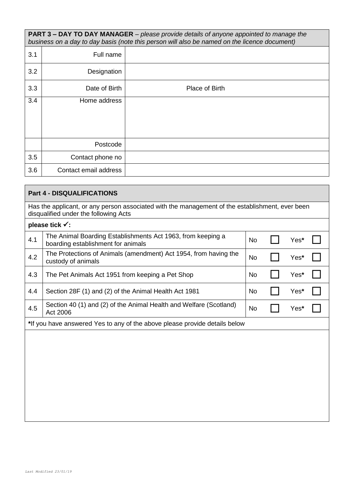**PART 3 – DAY TO DAY MANAGER** – *please provide details of anyone appointed to manage the business on a day to day basis (note this person will also be named on the licence document)*

| 3.1 | Full name             |                |
|-----|-----------------------|----------------|
| 3.2 | Designation           |                |
| 3.3 | Date of Birth         | Place of Birth |
| 3.4 | Home address          |                |
|     |                       |                |
|     |                       |                |
|     | Postcode              |                |
| 3.5 | Contact phone no      |                |
| 3.6 | Contact email address |                |

|                                                                                                                                          | <b>Part 4 - DISQUALIFICATIONS</b>                                                                 |           |  |      |  |
|------------------------------------------------------------------------------------------------------------------------------------------|---------------------------------------------------------------------------------------------------|-----------|--|------|--|
| Has the applicant, or any person associated with the management of the establishment, ever been<br>disqualified under the following Acts |                                                                                                   |           |  |      |  |
|                                                                                                                                          | please tick √:                                                                                    |           |  |      |  |
| 4.1                                                                                                                                      | The Animal Boarding Establishments Act 1963, from keeping a<br>boarding establishment for animals | <b>No</b> |  | Yes* |  |
| 4.2                                                                                                                                      | The Protections of Animals (amendment) Act 1954, from having the<br>custody of animals            | No        |  | Yes* |  |
| 4.3                                                                                                                                      | The Pet Animals Act 1951 from keeping a Pet Shop                                                  | No        |  | Yes* |  |
| 4.4                                                                                                                                      | Section 28F (1) and (2) of the Animal Health Act 1981                                             | <b>No</b> |  | Yes* |  |
| 4.5                                                                                                                                      | Section 40 (1) and (2) of the Animal Health and Welfare (Scotland)<br>Act 2006                    | <b>No</b> |  | Yes* |  |
|                                                                                                                                          | *If you have answered Yes to any of the above please provide details below                        |           |  |      |  |
|                                                                                                                                          |                                                                                                   |           |  |      |  |
|                                                                                                                                          |                                                                                                   |           |  |      |  |
|                                                                                                                                          |                                                                                                   |           |  |      |  |
|                                                                                                                                          |                                                                                                   |           |  |      |  |
|                                                                                                                                          |                                                                                                   |           |  |      |  |
|                                                                                                                                          |                                                                                                   |           |  |      |  |
|                                                                                                                                          |                                                                                                   |           |  |      |  |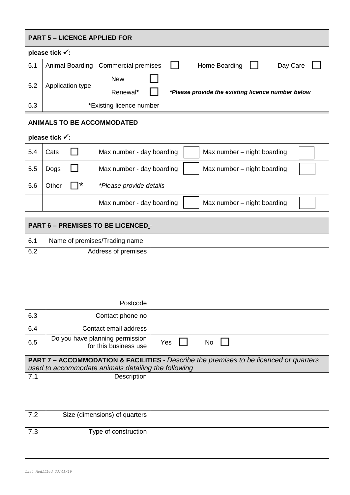|            | <b>PART 5 - LICENCE APPLIED FOR</b> |                                                                                                                                                                         |     |  |           |                             |                                                   |  |
|------------|-------------------------------------|-------------------------------------------------------------------------------------------------------------------------------------------------------------------------|-----|--|-----------|-----------------------------|---------------------------------------------------|--|
|            | please tick √:                      |                                                                                                                                                                         |     |  |           |                             |                                                   |  |
| 5.1        |                                     | Animal Boarding - Commercial premises                                                                                                                                   |     |  |           | Home Boarding               | Day Care                                          |  |
| 5.2        | Application type                    | <b>New</b>                                                                                                                                                              |     |  |           |                             |                                                   |  |
|            |                                     | Renewal*                                                                                                                                                                |     |  |           |                             | *Please provide the existing licence number below |  |
| 5.3        |                                     | *Existing licence number                                                                                                                                                |     |  |           |                             |                                                   |  |
|            | <b>ANIMALS TO BE ACCOMMODATED</b>   |                                                                                                                                                                         |     |  |           |                             |                                                   |  |
|            | please tick √:                      |                                                                                                                                                                         |     |  |           |                             |                                                   |  |
| 5.4        | Cats                                | Max number - day boarding                                                                                                                                               |     |  |           | Max number - night boarding |                                                   |  |
| 5.5        | Dogs                                | Max number - day boarding                                                                                                                                               |     |  |           | Max number - night boarding |                                                   |  |
| 5.6        | *<br>Other                          | *Please provide details                                                                                                                                                 |     |  |           |                             |                                                   |  |
|            |                                     | Max number - day boarding                                                                                                                                               |     |  |           | Max number - night boarding |                                                   |  |
|            | PART 6 - PREMISES TO BE LICENCED -  |                                                                                                                                                                         |     |  |           |                             |                                                   |  |
| 6.1        |                                     | Name of premises/Trading name                                                                                                                                           |     |  |           |                             |                                                   |  |
| 6.2        |                                     | Address of premises                                                                                                                                                     |     |  |           |                             |                                                   |  |
|            |                                     | Postcode                                                                                                                                                                |     |  |           |                             |                                                   |  |
| 6.3        |                                     | Contact phone no                                                                                                                                                        |     |  |           |                             |                                                   |  |
| 6.4        |                                     | Contact email address                                                                                                                                                   |     |  |           |                             |                                                   |  |
| 6.5        |                                     | Do you have planning permission<br>for this business use                                                                                                                | Yes |  | <b>No</b> |                             |                                                   |  |
| 7.1        |                                     | <b>PART 7 – ACCOMMODATION &amp; FACILITIES -</b> Describe the premises to be licenced or quarters<br>used to accommodate animals detailing the following<br>Description |     |  |           |                             |                                                   |  |
| 7.2<br>7.3 |                                     | Size (dimensions) of quarters<br>Type of construction                                                                                                                   |     |  |           |                             |                                                   |  |
|            |                                     |                                                                                                                                                                         |     |  |           |                             |                                                   |  |

 $\overline{\phantom{a}}$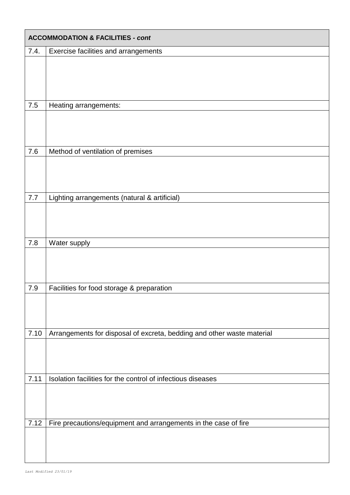| <b>ACCOMMODATION &amp; FACILITIES - cont</b> |                                                                        |  |  |  |  |
|----------------------------------------------|------------------------------------------------------------------------|--|--|--|--|
| 7.4.                                         | Exercise facilities and arrangements                                   |  |  |  |  |
|                                              |                                                                        |  |  |  |  |
|                                              |                                                                        |  |  |  |  |
|                                              |                                                                        |  |  |  |  |
| 7.5                                          | Heating arrangements:                                                  |  |  |  |  |
|                                              |                                                                        |  |  |  |  |
| 7.6                                          | Method of ventilation of premises                                      |  |  |  |  |
|                                              |                                                                        |  |  |  |  |
|                                              |                                                                        |  |  |  |  |
| 7.7                                          | Lighting arrangements (natural & artificial)                           |  |  |  |  |
|                                              |                                                                        |  |  |  |  |
|                                              |                                                                        |  |  |  |  |
| 7.8                                          | Water supply                                                           |  |  |  |  |
|                                              |                                                                        |  |  |  |  |
|                                              |                                                                        |  |  |  |  |
| 7.9                                          | Facilities for food storage & preparation                              |  |  |  |  |
|                                              |                                                                        |  |  |  |  |
|                                              |                                                                        |  |  |  |  |
|                                              |                                                                        |  |  |  |  |
| 7.10                                         | Arrangements for disposal of excreta, bedding and other waste material |  |  |  |  |
|                                              |                                                                        |  |  |  |  |
|                                              |                                                                        |  |  |  |  |
| 7.11                                         | Isolation facilities for the control of infectious diseases            |  |  |  |  |
|                                              |                                                                        |  |  |  |  |
|                                              |                                                                        |  |  |  |  |
| 7.12                                         | Fire precautions/equipment and arrangements in the case of fire        |  |  |  |  |
|                                              |                                                                        |  |  |  |  |
|                                              |                                                                        |  |  |  |  |
|                                              |                                                                        |  |  |  |  |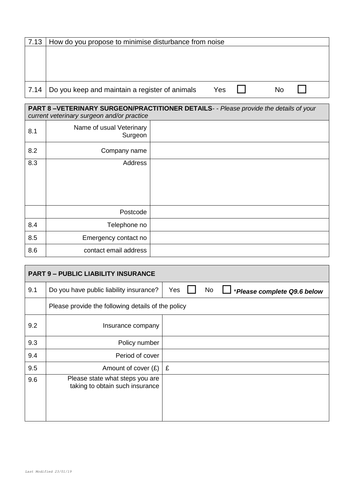| 7.13 | How do you propose to minimise disturbance from noise |     |           |  |
|------|-------------------------------------------------------|-----|-----------|--|
|      |                                                       |     |           |  |
|      |                                                       |     |           |  |
|      |                                                       |     |           |  |
|      |                                                       |     |           |  |
|      | 7.14   Do you keep and maintain a register of animals | Yes | <b>No</b> |  |

#### **PART 8 –VETERINARY SURGEON/PRACTITIONER DETAILS***- - Please provide the details of your current veterinary surgeon and/or practice*

| 8.1 | Name of usual Veterinary<br>Surgeon |  |
|-----|-------------------------------------|--|
| 8.2 | Company name                        |  |
| 8.3 | Address                             |  |
|     |                                     |  |
|     | Postcode                            |  |
| 8.4 | Telephone no                        |  |
| 8.5 | Emergency contact no                |  |
| 8.6 | contact email address               |  |

|     | <b>PART 9 - PUBLIC LIABILITY INSURANCE</b>                         |                                                 |
|-----|--------------------------------------------------------------------|-------------------------------------------------|
| 9.1 | Do you have public liability insurance?                            | Yes<br><b>No</b><br>*Please complete Q9.6 below |
|     | Please provide the following details of the policy                 |                                                 |
| 9.2 | Insurance company                                                  |                                                 |
| 9.3 | Policy number                                                      |                                                 |
| 9.4 | Period of cover                                                    |                                                 |
| 9.5 | Amount of cover $(E)$ $E$                                          |                                                 |
| 9.6 | Please state what steps you are<br>taking to obtain such insurance |                                                 |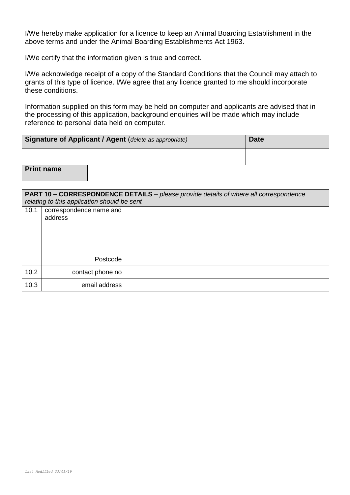I/We hereby make application for a licence to keep an Animal Boarding Establishment in the above terms and under the Animal Boarding Establishments Act 1963.

I/We certify that the information given is true and correct.

I/We acknowledge receipt of a copy of the Standard Conditions that the Council may attach to grants of this type of licence. I/We agree that any licence granted to me should incorporate these conditions.

Information supplied on this form may be held on computer and applicants are advised that in the processing of this application, background enquiries will be made which may include reference to personal data held on computer.

| <b>Signature of Applicant / Agent (delete as appropriate)</b> | <b>Date</b> |
|---------------------------------------------------------------|-------------|
|                                                               |             |
| <b>Print name</b>                                             |             |

| <b>PART 10 – CORRESPONDENCE DETAILS</b> – please provide details of where all correspondence<br>relating to this application should be sent |                                    |  |
|---------------------------------------------------------------------------------------------------------------------------------------------|------------------------------------|--|
| 10.1                                                                                                                                        | correspondence name and<br>address |  |
|                                                                                                                                             | Postcode                           |  |
| 10.2                                                                                                                                        | contact phone no                   |  |
| 10.3                                                                                                                                        | email address                      |  |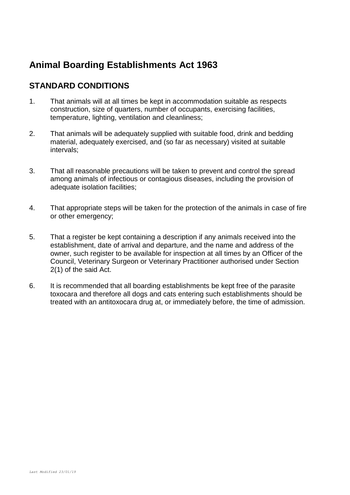# **STANDARD CONDITIONS**

- 1. That animals will at all times be kept in accommodation suitable as respects construction, size of quarters, number of occupants, exercising facilities, temperature, lighting, ventilation and cleanliness;
- 2. That animals will be adequately supplied with suitable food, drink and bedding material, adequately exercised, and (so far as necessary) visited at suitable intervals;
- 3. That all reasonable precautions will be taken to prevent and control the spread among animals of infectious or contagious diseases, including the provision of adequate isolation facilities;
- 4. That appropriate steps will be taken for the protection of the animals in case of fire or other emergency;
- 5. That a register be kept containing a description if any animals received into the establishment, date of arrival and departure, and the name and address of the owner, such register to be available for inspection at all times by an Officer of the Council, Veterinary Surgeon or Veterinary Practitioner authorised under Section 2(1) of the said Act.
- 6. It is recommended that all boarding establishments be kept free of the parasite toxocara and therefore all dogs and cats entering such establishments should be treated with an antitoxocara drug at, or immediately before, the time of admission.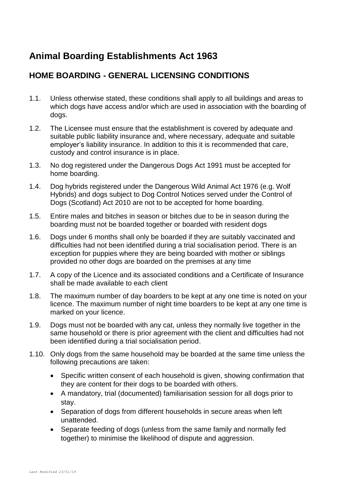# **HOME BOARDING - GENERAL LICENSING CONDITIONS**

- 1.1. Unless otherwise stated, these conditions shall apply to all buildings and areas to which dogs have access and/or which are used in association with the boarding of dogs.
- 1.2. The Licensee must ensure that the establishment is covered by adequate and suitable public liability insurance and, where necessary, adequate and suitable employer's liability insurance. In addition to this it is recommended that care, custody and control insurance is in place.
- 1.3. No dog registered under the Dangerous Dogs Act 1991 must be accepted for home boarding.
- 1.4. Dog hybrids registered under the Dangerous Wild Animal Act 1976 (e.g. Wolf Hybrids) and dogs subject to Dog Control Notices served under the Control of Dogs (Scotland) Act 2010 are not to be accepted for home boarding.
- 1.5. Entire males and bitches in season or bitches due to be in season during the boarding must not be boarded together or boarded with resident dogs
- 1.6. Dogs under 6 months shall only be boarded if they are suitably vaccinated and difficulties had not been identified during a trial socialisation period. There is an exception for puppies where they are being boarded with mother or siblings provided no other dogs are boarded on the premises at any time
- 1.7. A copy of the Licence and its associated conditions and a Certificate of Insurance shall be made available to each client
- 1.8. The maximum number of day boarders to be kept at any one time is noted on your licence. The maximum number of night time boarders to be kept at any one time is marked on your licence.
- 1.9. Dogs must not be boarded with any cat, unless they normally live together in the same household or there is prior agreement with the client and difficulties had not been identified during a trial socialisation period.
- 1.10. Only dogs from the same household may be boarded at the same time unless the following precautions are taken:
	- Specific written consent of each household is given, showing confirmation that they are content for their dogs to be boarded with others.
	- A mandatory, trial (documented) familiarisation session for all dogs prior to stay.
	- Separation of dogs from different households in secure areas when left unattended.
	- Separate feeding of dogs (unless from the same family and normally fed together) to minimise the likelihood of dispute and aggression.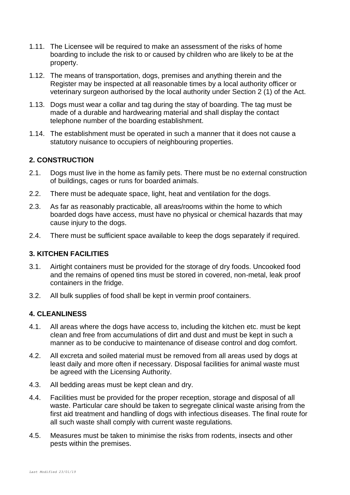- 1.11. The Licensee will be required to make an assessment of the risks of home boarding to include the risk to or caused by children who are likely to be at the property.
- 1.12. The means of transportation, dogs, premises and anything therein and the Register may be inspected at all reasonable times by a local authority officer or veterinary surgeon authorised by the local authority under Section 2 (1) of the Act.
- 1.13. Dogs must wear a collar and tag during the stay of boarding. The tag must be made of a durable and hardwearing material and shall display the contact telephone number of the boarding establishment.
- 1.14. The establishment must be operated in such a manner that it does not cause a statutory nuisance to occupiers of neighbouring properties.

# **2. CONSTRUCTION**

- 2.1. Dogs must live in the home as family pets. There must be no external construction of buildings, cages or runs for boarded animals.
- 2.2. There must be adequate space, light, heat and ventilation for the dogs.
- 2.3. As far as reasonably practicable, all areas/rooms within the home to which boarded dogs have access, must have no physical or chemical hazards that may cause injury to the dogs.
- 2.4. There must be sufficient space available to keep the dogs separately if required.

# **3. KITCHEN FACILITIES**

- 3.1. Airtight containers must be provided for the storage of dry foods. Uncooked food and the remains of opened tins must be stored in covered, non-metal, leak proof containers in the fridge.
- 3.2. All bulk supplies of food shall be kept in vermin proof containers.

# **4. CLEANLINESS**

- 4.1. All areas where the dogs have access to, including the kitchen etc. must be kept clean and free from accumulations of dirt and dust and must be kept in such a manner as to be conducive to maintenance of disease control and dog comfort.
- 4.2. All excreta and soiled material must be removed from all areas used by dogs at least daily and more often if necessary. Disposal facilities for animal waste must be agreed with the Licensing Authority.
- 4.3. All bedding areas must be kept clean and dry.
- 4.4. Facilities must be provided for the proper reception, storage and disposal of all waste. Particular care should be taken to segregate clinical waste arising from the first aid treatment and handling of dogs with infectious diseases. The final route for all such waste shall comply with current waste regulations.
- 4.5. Measures must be taken to minimise the risks from rodents, insects and other pests within the premises.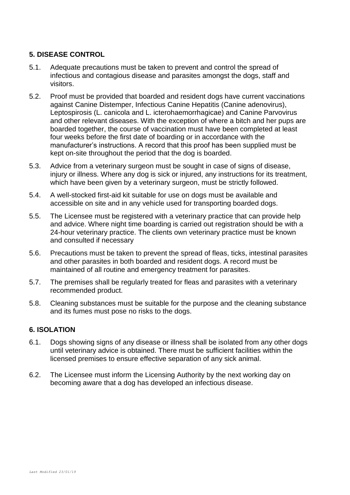# **5. DISEASE CONTROL**

- 5.1. Adequate precautions must be taken to prevent and control the spread of infectious and contagious disease and parasites amongst the dogs, staff and visitors.
- 5.2. Proof must be provided that boarded and resident dogs have current vaccinations against Canine Distemper, Infectious Canine Hepatitis (Canine adenovirus), Leptospirosis (L. canicola and L. icterohaemorrhagicae) and Canine Parvovirus and other relevant diseases. With the exception of where a bitch and her pups are boarded together, the course of vaccination must have been completed at least four weeks before the first date of boarding or in accordance with the manufacturer's instructions. A record that this proof has been supplied must be kept on-site throughout the period that the dog is boarded.
- 5.3. Advice from a veterinary surgeon must be sought in case of signs of disease, injury or illness. Where any dog is sick or injured, any instructions for its treatment, which have been given by a veterinary surgeon, must be strictly followed.
- 5.4. A well-stocked first-aid kit suitable for use on dogs must be available and accessible on site and in any vehicle used for transporting boarded dogs.
- 5.5. The Licensee must be registered with a veterinary practice that can provide help and advice. Where night time boarding is carried out registration should be with a 24-hour veterinary practice. The clients own veterinary practice must be known and consulted if necessary
- 5.6. Precautions must be taken to prevent the spread of fleas, ticks, intestinal parasites and other parasites in both boarded and resident dogs. A record must be maintained of all routine and emergency treatment for parasites.
- 5.7. The premises shall be regularly treated for fleas and parasites with a veterinary recommended product.
- 5.8. Cleaning substances must be suitable for the purpose and the cleaning substance and its fumes must pose no risks to the dogs.

# **6. ISOLATION**

- 6.1. Dogs showing signs of any disease or illness shall be isolated from any other dogs until veterinary advice is obtained. There must be sufficient facilities within the licensed premises to ensure effective separation of any sick animal.
- 6.2. The Licensee must inform the Licensing Authority by the next working day on becoming aware that a dog has developed an infectious disease.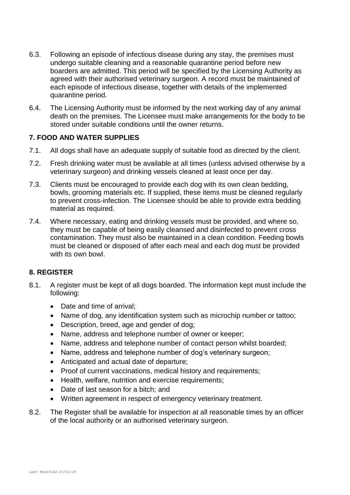- 6.3. Following an episode of infectious disease during any stay, the premises must undergo suitable cleaning and a reasonable quarantine period before new boarders are admitted. This period will be specified by the Licensing Authority as agreed with their authorised veterinary surgeon. A record must be maintained of each episode of infectious disease, together with details of the implemented quarantine period.
- 6.4. The Licensing Authority must be informed by the next working day of any animal death on the premises. The Licensee must make arrangements for the body to be stored under suitable conditions until the owner returns.

# **7. FOOD AND WATER SUPPLIES**

- 7.1. All dogs shall have an adequate supply of suitable food as directed by the client.
- 7.2. Fresh drinking water must be available at all times (unless advised otherwise by a veterinary surgeon) and drinking vessels cleaned at least once per day.
- 7.3. Clients must be encouraged to provide each dog with its own clean bedding, bowls, grooming materials etc. If supplied, these items must be cleaned regularly to prevent cross-infection. The Licensee should be able to provide extra bedding material as required.
- 7.4. Where necessary, eating and drinking vessels must be provided, and where so, they must be capable of being easily cleansed and disinfected to prevent cross contamination. They must also be maintained in a clean condition. Feeding bowls must be cleaned or disposed of after each meal and each dog must be provided with its own bowl.

# **8. REGISTER**

- 8.1. A register must be kept of all dogs boarded. The information kept must include the following:
	- Date and time of arrival;
	- Name of dog, any identification system such as microchip number or tattoo;
	- Description, breed, age and gender of dog;
	- Name, address and telephone number of owner or keeper;
	- Name, address and telephone number of contact person whilst boarded;
	- Name, address and telephone number of dog's veterinary surgeon;
	- Anticipated and actual date of departure;
	- Proof of current vaccinations, medical history and requirements:
	- Health, welfare, nutrition and exercise requirements;
	- Date of last season for a bitch; and
	- Written agreement in respect of emergency veterinary treatment.
- 8.2. The Register shall be available for inspection at all reasonable times by an officer of the local authority or an authorised veterinary surgeon.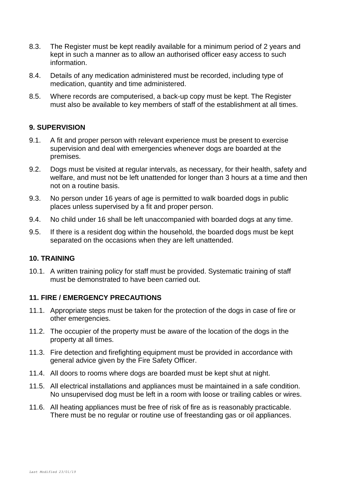- 8.3. The Register must be kept readily available for a minimum period of 2 years and kept in such a manner as to allow an authorised officer easy access to such information.
- 8.4. Details of any medication administered must be recorded, including type of medication, quantity and time administered.
- 8.5. Where records are computerised, a back-up copy must be kept. The Register must also be available to key members of staff of the establishment at all times.

# **9. SUPERVISION**

- 9.1. A fit and proper person with relevant experience must be present to exercise supervision and deal with emergencies whenever dogs are boarded at the premises.
- 9.2. Dogs must be visited at regular intervals, as necessary, for their health, safety and welfare, and must not be left unattended for longer than 3 hours at a time and then not on a routine basis.
- 9.3. No person under 16 years of age is permitted to walk boarded dogs in public places unless supervised by a fit and proper person.
- 9.4. No child under 16 shall be left unaccompanied with boarded dogs at any time.
- 9.5. If there is a resident dog within the household, the boarded dogs must be kept separated on the occasions when they are left unattended.

# **10. TRAINING**

10.1. A written training policy for staff must be provided. Systematic training of staff must be demonstrated to have been carried out.

# **11. FIRE / EMERGENCY PRECAUTIONS**

- 11.1. Appropriate steps must be taken for the protection of the dogs in case of fire or other emergencies.
- 11.2. The occupier of the property must be aware of the location of the dogs in the property at all times.
- 11.3. Fire detection and firefighting equipment must be provided in accordance with general advice given by the Fire Safety Officer.
- 11.4. All doors to rooms where dogs are boarded must be kept shut at night.
- 11.5. All electrical installations and appliances must be maintained in a safe condition. No unsupervised dog must be left in a room with loose or trailing cables or wires.
- 11.6. All heating appliances must be free of risk of fire as is reasonably practicable. There must be no regular or routine use of freestanding gas or oil appliances.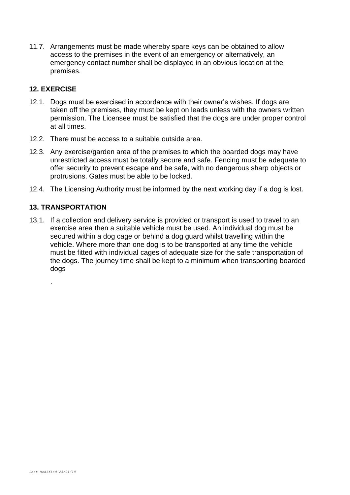11.7. Arrangements must be made whereby spare keys can be obtained to allow access to the premises in the event of an emergency or alternatively, an emergency contact number shall be displayed in an obvious location at the premises.

# **12. EXERCISE**

- 12.1. Dogs must be exercised in accordance with their owner's wishes. If dogs are taken off the premises, they must be kept on leads unless with the owners written permission. The Licensee must be satisfied that the dogs are under proper control at all times.
- 12.2. There must be access to a suitable outside area.
- 12.3. Any exercise/garden area of the premises to which the boarded dogs may have unrestricted access must be totally secure and safe. Fencing must be adequate to offer security to prevent escape and be safe, with no dangerous sharp objects or protrusions. Gates must be able to be locked.
- 12.4. The Licensing Authority must be informed by the next working day if a dog is lost.

# **13. TRANSPORTATION**

.

13.1. If a collection and delivery service is provided or transport is used to travel to an exercise area then a suitable vehicle must be used. An individual dog must be secured within a dog cage or behind a dog guard whilst travelling within the vehicle. Where more than one dog is to be transported at any time the vehicle must be fitted with individual cages of adequate size for the safe transportation of the dogs. The journey time shall be kept to a minimum when transporting boarded dogs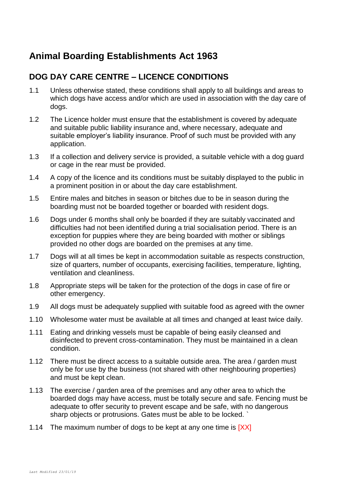# **DOG DAY CARE CENTRE – LICENCE CONDITIONS**

- 1.1 Unless otherwise stated, these conditions shall apply to all buildings and areas to which dogs have access and/or which are used in association with the day care of dogs.
- 1.2 The Licence holder must ensure that the establishment is covered by adequate and suitable public liability insurance and, where necessary, adequate and suitable employer's liability insurance. Proof of such must be provided with any application.
- 1.3 If a collection and delivery service is provided, a suitable vehicle with a dog guard or cage in the rear must be provided.
- 1.4 A copy of the licence and its conditions must be suitably displayed to the public in a prominent position in or about the day care establishment.
- 1.5 Entire males and bitches in season or bitches due to be in season during the boarding must not be boarded together or boarded with resident dogs.
- 1.6 Dogs under 6 months shall only be boarded if they are suitably vaccinated and difficulties had not been identified during a trial socialisation period. There is an exception for puppies where they are being boarded with mother or siblings provided no other dogs are boarded on the premises at any time.
- 1.7 Dogs will at all times be kept in accommodation suitable as respects construction, size of quarters, number of occupants, exercising facilities, temperature, lighting, ventilation and cleanliness.
- 1.8 Appropriate steps will be taken for the protection of the dogs in case of fire or other emergency.
- 1.9 All dogs must be adequately supplied with suitable food as agreed with the owner
- 1.10 Wholesome water must be available at all times and changed at least twice daily.
- 1.11 Eating and drinking vessels must be capable of being easily cleansed and disinfected to prevent cross-contamination. They must be maintained in a clean condition.
- 1.12 There must be direct access to a suitable outside area. The area / garden must only be for use by the business (not shared with other neighbouring properties) and must be kept clean.
- 1.13 The exercise / garden area of the premises and any other area to which the boarded dogs may have access, must be totally secure and safe. Fencing must be adequate to offer security to prevent escape and be safe, with no dangerous sharp objects or protrusions. Gates must be able to be locked. `
- 1.14 The maximum number of dogs to be kept at any one time is [XX]